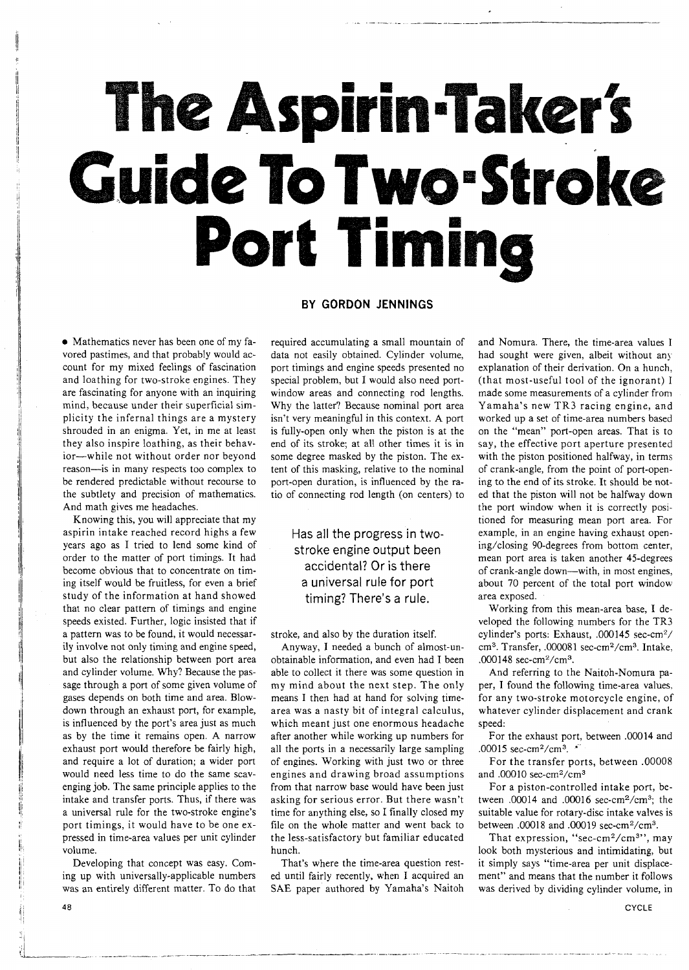# The Aspirin-Taker's Guide To Two-Stroke Port Timing

# **BY GORDON JENNINGS**

Mathematics never has been one of my favored pastimes, and that probably would account for my mixed feelings of fascination and loathing for two-stroke engines. They are fascinating for anyone with an inquiring mind, because under their superficial simplicity the infernal things are a mystery shrouded in an enigma. Yet, in me at least they also inspire loathing, as their behavior-while not without order nor beyond reason-is in many respects too complex to be rendered predictable without recourse to the subtlety and precision of mathematics. And math gives me headaches.

Knowing this, you will appreciate that my aspirin intake reached record highs a few years ago as I tried to lend some kind of order to the matter of port timings. It had become obvious that to concentrate on timing itself would be fruitless, for even a brief study of the information at hand showed that no clear pattern of timings and engine speeds existed. Further, logic insisted that if a pattern was to be found, it would necessarily involve not only timing and engine speed, but also the relationship between port area and cylinder volume. Why? Because the passage through a port of some given volume of gases depends on both time and area. Blowdown through an exhaust port, for example, is influenced by the port's area just as much as by the time it remains open. A narrow exhaust port would therefore be fairly high, and require a lot of duration; a wider port would need less time to do the same scavenging job. The same principle applies to the intake and transfer ports. Thus, if there was a universal rule for the two-stroke engine's port timings, it would have to be one expressed in time-area values per unit cylinder volume.

Developing that concept was easy. Coming up with universally-applicable numbers was an entirely different matter. TO do that

required accumulating a small mountain of data not easily obtained. Cylinder volume, port timings and engine speeds presented no special problem, but I would also need portwindow areas and connecting rod lengths. Why the latter? Because nominal port area isn't very meaningful in this context. A port is fully-open only when the piston is at the end of its stroke; at all other times it is in some degree masked by the piston. The extent of this masking, relative to the nominal port-open duration, is influenced by the ratio of connecting rod length (on centers) to

# Has all the progress in twostroke engine output been accidental? Or is there a universal rule for port timing? There's a rule.

stroke, and also by the duration itself.

Anyway, I needed a bunch of almost-unobtainable information, and even had I been able to collect it there was some question in my mind about the next step. The only means I then had at hand for solving timearea was a nasty bit of integral calculus, which meant just one enormous headache after another while working up numbers for all the ports in a necessarily large sampling of engines. Working with just two or three engines and drawing broad assumptions from that narrow base would have been just asking for serious error. But there wasn't time for anything else, so I finally closed my file on the whole matter and went back to the less-satisfactory but familiar educated hunch.

That's where the time-area question rested until fairly recently, when I acquired an SAE paper authored by Yamaha's Naitoh

and Nomura. There, the time-area values I had sought were given, albeit without any explanation of their derivation. On a hunch, (that most-useful tool of the ignorant) I made some measurements of a cylinder from Yamaha's new TR3 racing engine, and worked up a set of time-area numbers based on the "mean" port-open areas. That is to say, the effective port aperture presented with the piston positioned halfway, in terms of crank-angle, from the point of port-opening to the end of its stroke. It should be noted that the piston will not be halfway down the port window when it is correctly posltioned for measuring mean port area. For example, in an engine having exhaust opening/closing 90-degrees from bottom center, mean port area is taken another 45-degrees of crank-angle down-with, in most engines, about 70 percent of the total port window area exposed.

Working from this mean-area base, I developed the following numbers for the TR3 cylinder's ports: Exhaust, .000145 sec-cm2/ cm3. Transfer, .000081 sec-cm2/cm3. Intake, .000148 sec-cm $^{2}/\text{cm}^{3}$ .

And referring to the Naitoh-Nomura paper, I found the following time-area values. for any two-stroke motorcycle engine, of whatever cylinder displacement and crank speed:

For the exhaust port, between .00014 and .00015 sec-cm<sup>2</sup>/cm<sup>3</sup>.  $\cdot$ 

For the transfer ports, between .00008 and .00010 sec-cm2/cm3

For a piston-controlled intake port, between .00014 and .00016 sec-cm2/cm3; the suitable value for rotary-disc intake valves is between .00018 and .00019 sec-cm2/cm3.

That expression, "sec-cm<sup>2</sup>/cm<sup>3</sup>", may look both mysterious and intimidating, but it simply says "time-area per unit displacement" and means that the number it follows was derived by dividing cylinder volume, in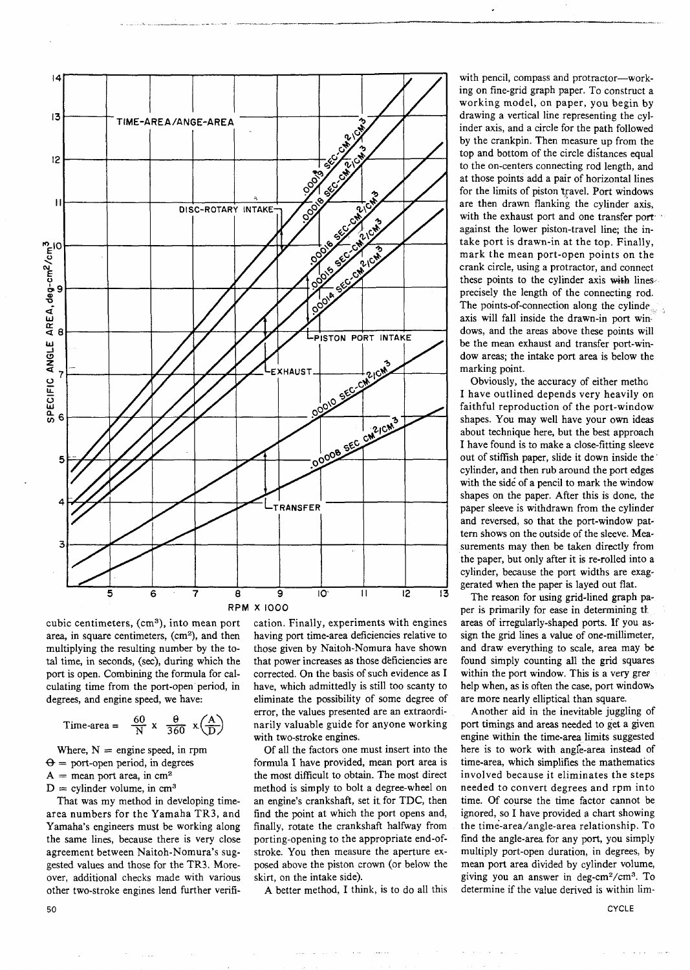

cubic centimeters, (cm<sup>3</sup>), into mean port area, in square centimeters, (cm<sup>2</sup>), and then multiplying the resulting number by the total time, in seconds, (sec), during which the port is open. Combining the formula for calculating time from the port-open period, in degrees, and engine speed, we have:

Time-area = 
$$
\frac{60}{N} \times \frac{\theta}{360} \times \left(\frac{A}{D}\right)
$$
  $\frac{error}{with}$ 

Where,  $N =$  engine speed, in rpm  $\Theta$  = port-open period, in degrees  $A =$  mean port area, in cm<sup>2</sup>  $D =$  cylinder volume, in cm<sup>3</sup>

That was my method in developing timearea numbers for the Yamaha TR3, and Yamaha's engineers must be working along the same lines, because there is very close agreement between Naitoh-Nomura's suggested values and those for the TR3. Moreover, additional checks made with various other two-stroke engines lend further verification. Finally, experiments with engines having port time-area deficiencies relative to those given by Naitoh-Nomura have shown that power increases as those deficiencies are corrected. On the basis of such evidence as I have, which admittedly is still too scanty to eliminate the possibility of some degree of error, the values presented are an extraordinarily valuable guide for anyone working with two-stroke engines.

Of all the factors one must insert into the formula I have provided, mean port area is the most difficult to obtain. The most direct method is simply to bolt a degree-wheel on an engine's crankshaft, set it for TDC, then find the point at which the port opens and, finally, rotate the crankshaft halfway from porting-opening to the appropriate end-ofstroke. You then measure the aperture exposed above the piston crown (or below the skirt, on the intake side).

**A** better method, I think, is to do all this

 $\Delta\omega = 1$  , and  $\Delta\omega$ 

with pencil, compass and protractor-working on fine-grid graph paper. To construct a working model, on paper, you begin by drawing a vertical line representing the cylinder axis, and a circle for the path followed by the crankpin. Then measure up from the top and bottom of the circle distances equal to the on-centers connecting rod length, and at those points add a pair of horizontal lines for the limits of piston travel. Port windows are then drawn flanking the cylinder axis, with the exhaust port and one transfer port against the lower piston-travel line; the intake port is drawn-in at the top. Finally, mark the mean port-open points on the crank circle, using a protractor, and connect these points to the cylinder axis with lines precisely the length of the connecting rod. The points-of-connection along the cylinde axis will fall inside the drawn-in port windows, and the areas above these points will be the mean exhaust and transfer port-window areas; the intake port area is below the marking point.

Obviously, the accuracy of either metho I have outlined depends very heavily on faithful reproduction of the port-window shapes. You may well have your own ideas about technique here, but the best approach I have found is to make a close-fitting sleeve out of stiffish paper, slide it down inside the cylinder, and then rub around the port edges with the side of a pencil to mark the window shapes on the paper. After this is done, the paper sleeve is withdrawn from the cylinder and reversed, so that the port-window pattern shows on the outside of the sleeve. **Mea**surements may then be taken directly from the paper, but only after it is re-rolled into a cylinder, because the port widths are exaggerated when the paper is layed out flat.

The reason for using grid-lined graph paper is primarily for ease in determining th areas of irregularly-shaped ports. If you assign the grid lines a value of one-millimeter, and draw everything to scale, area may be found simply counting all the grid squares within the port window. This is a very gree help when, as is often the case, port windows are more nearly elliptical than square.

Another aid in the inevitable juggling of port timings and areas needed to get a given engine within the time-area limits suggested here is to work with angle-area instead of time-area, which simplifies the mathematics involved because it eliminates the steps needed to convert degrees and rpm into time. Of course the time factor cannot be ignored, so I have provided a chart showing the time-area/angle-area relationship. To find the angle-area for any port, you simply multiply port-open duration, in degrees, by mean port area divided by cylinder volume, giving you an answer in deg-cm2/cm3. To determine if the value derived is within lim-

**CYCLE**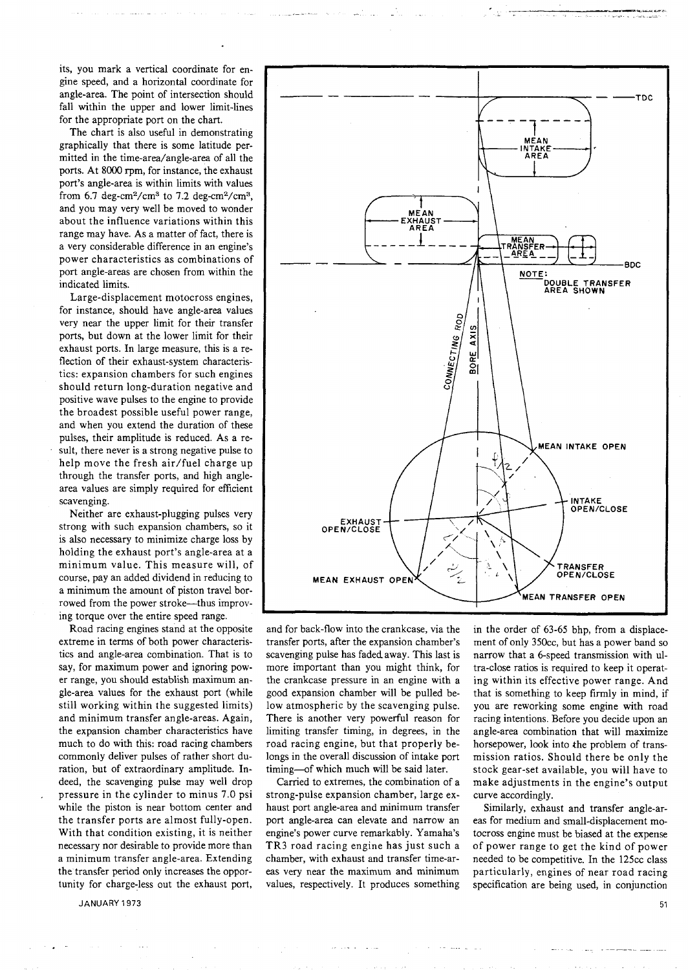its, you mark a vertical coordinate for engine speed, and a horizontal coordinate for angle-area. The point of intersection should fall within the upper and lower limit-lines for the appropriate port on the chart.

The chart is also useful in demonstrating graphically that there is some latitude permitted in the time-area/angle-area of all the ports. At 8000 rpm, for instance, the exhaust port's angle-area is within limits with values from  $6.7$  deg-cm<sup>2</sup>/cm<sup>3</sup> to  $7.2$  deg-cm<sup>2</sup>/cm<sup>3</sup>, and you may very well be moved to wonder about the influence variations within this range may have. As a matter of fact, there is a very considerable difference in an engine's power characteristics as combinations of port angle-areas are chosen from within the indicated limits.

Large-displacement motocross engines, for instance, should have angle-area values very near the upper limit for their transfer ports, but down at the lower limit for their exhaust ports. In large measure, this is a reflection of their exhaust-system characteristics: expansion chambers for such engines should return long-duration negative and positive wave pulses to the engine to provide the broadest possible useful power range, and when you extend the duration of these pulses, their amplitude is reduced. As a result, there never is a strong negative pulse to help move the fresh air/fuel charge up through the transfer ports, and high anglearea values are simply required for efficient scavenging.

Neither are exhaust-plugging pulses very strong with such expansion chambers, so it is also necessary to minimize charge loss by holding the exhaust port's angle-area at a minimum value. This measure will, of course, pay an added dividend in reducing to a minimum the amount of piston travel borrowed from the power stroke-thus improving torque over the entire speed range.

Road racing engines stand at the opposite extreme in terms of both power characteristics and angle-area combination. That is to say, for maximum power and ignoring power range, you should establish maximum angle-area values for the exhaust port (while still working within the suggested limits) and minimum transfer angle-areas. Again, the expansion chamber characteristics have much to do with this: road racing chambers commonly deliver pulses of rather short duration, but of extraordinary amplitude. Indeed, the scavenging pulse may well drop pressure in the cylinder to minus 7.0 psi while the piston is near bottom center and the transfer ports are almost fully-open. With that condition existing, it is neither necessary nor desirable to provide more than a minimum transfer angle-area. Extending the transfer period only increases the opportunity for charge-less out the exhaust port,



and for back-flow into the crankcase, via the transfer ports, after the expansion chamber's scavenging pulse has fadedaway. This last is more important than you might think, for the crankcase pressure in an engine with a good expansion chamber will be pulled below atmospheric by the scavenging pulse. There is another very powerful reason for limiting transfer timing, in degrees, in the road racing engine, but that properly belongs in the overall discussion of intake port timing--of which much will be said later.

Carried to extremes, the combination of a strong-pulse expansion chamber, large exhaust port angle-area and minimum transfer port angle-area can elevate and narrow an engine's power curve remarkably. Yamaha's TR3 road racing engine has just such a chamber, with exhaust and transfer time-areas very near the maximum and minimum values, respectively. It produces something in the order of 63-65 bhp, from a displacement of only 350cc, but has a power band so narrow that a 6-speed transmission with ultra-close ratios is required to keep it operating within its effective power range. And that is something to keep firmly in mind, if you are reworking some engine with road racing intentions. Before you decide upon an angle-area combination that will maximize horsepower, look into the problem of transmission ratios. Should there be only the stock gear-set available, you will have to make adjustments in the engine's output curve accordingly.

Similarly, exhaust and transfer angle-areas for medium and small-displacement motocross engine must be biased at the expense of power range to get the kind of power needed to be competitive. In the 125cc class particularly, engines of near road racing specification are being used, in conjunction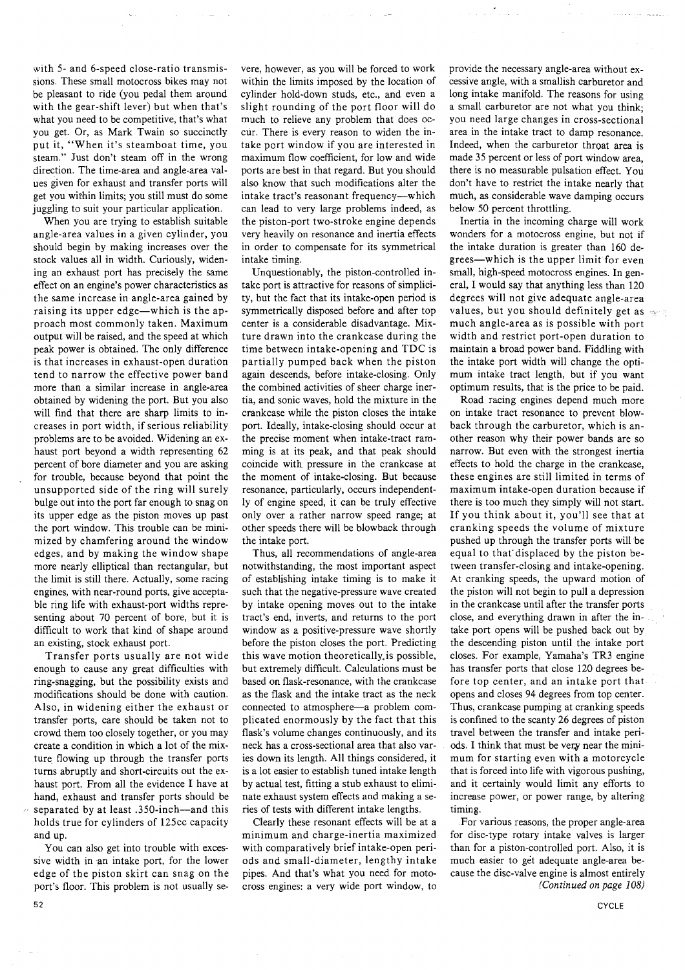with 5- and 6-speed close-ratio transmissions. These small motocross bikes may not be pleasant to ride (you pedal them around with the gear-shift lever) but when that's what you need to be competitive, that's what you get. Or, as Mark Twain so succinctly put it, "When it's steamboat time, you steam." Just don't steam off in the wrong direction. The time-area and angle-area values given for exhaust and transfer ports will get you within limits; you still must do some juggling to suit your particular application.

When you are trying to establish suitable angle-area values in a given cylinder, you should begin by making increases over the stock values all in width. Curiously, widening an exhaust port has precisely the same effect on an engine's power characteristics as the same increase in angle-area gained by raising its upper edge-which is the approach most commonly taken. Maximum output will be raised, and the speed at which peak power is obtained. The only difference is that increases in exhaust-open duration tend to narrow the effective power band more than a similar increase in angle-area obtained by widening the port. But you also will find that there are sharp limits to increases in port width, if serious reliability problems are to be avoided. Widening an exhaust port beyond a width representing 62 percent of bore diameter and you are asking for trouble, because beyond that point the unsupported side of the ring will surely bulge out into the port far enough to snag on its upper edge as the piston moves up past the port window. This trouble can be minimized by chamfering around the window edges, and by making the window shape more nearly elliptical than rectangular, but the limit is still there. Actually, some racing engines, with near-round ports, give acceptable ring life with exhaust-port widths representing about 70 percent of bore, but it is difficult to work that kind of shape around an existing, stock exhaust port.

Transfer ports usually are not wide enough to cause any great difficulties with ring-snagging, but the possibility exists and modifications should be done with caution. Also, in widening either the exhaust or transfer ports, care should be taken not to crowd them too closely together, or you may create a condition in which a lot of the mixture flowing up through the transfer ports turns abruptly and short-circuits out the exhaust port. From all the evidence I have at hand, exhaust and transfer ports should be separated by at least .350-inch-and this holds true for cylinders of 125cc capacity and up.

You can also get into trouble with excessive width in an intake port, for the lower edge of the piston skirt can snag on the port's floor. This problem is not usually se-

vere, however, as you will be forced to work within the limits imposed by the location of cylinder hold-down studs, etc., and even a slight rounding of the port floor will do much to relieve any problem that does occur. There is every reason to widen the intake port window if you are interested in maximum flow coefficient, for low and wide ports are best in that regard. But you should also know that such modifications alter the intake tract's reasonant frequency-which can lead to very large problems indeed, as the piston-port two-stroke engine depends very heavily on resonance and inertia effects in order to compensate for its symmetrical intake timing.

Unquestionably, the piston-controlled intake port is attractive for reasons of simplicity, but the fact that its intake-open period is symmetrically disposed before and after top center is a considerable disadvantage. Mixture drawn into the crankcase during the time between intake-opening and TDC is partially pumped back when the piston again descends, before intake-closing. Only the combined activities of sheer charge inertia, and sonic waves, hold the mixture in the crankcase while the piston closes the intake port. Ideally, intake-closing should occur at the precise moment when intake-tract ramming is at its peak, and that peak should coincide with pressure in the crankcase at the moment of intake-closing. But because resonance, particularly, occurs independently of engine speed, it can be truly effective only over a rather narrow speed range; at other speeds there will be blowback through the intake port.

Thus, all recommendations of angle-area notwithstanding, the most important aspect of establishing intake timing is to make it such that the negative-pressure wave created by intake opening moves out to the intake tract's end, inverts, and returns to the port window as a positive-pressure wave shortly before the piston closes the port. Predicting this wave motion theoretically is possible, but extremely difficult. Calculations must be based on flask-resonance, with the crankcase as the flask and the intake tract as the neck connected to atmosphere-a problem complicated enormously by the fact that this flask's volume changes continuously, and its neck has a cross-sectional area that also varies down its length. All things considered, it is a lot easier to establish tuned intake length by actual test, fitting a stub exhaust to eliminate exhaust system effects and making a series of tests with different intake lengths.

Clearly these resonant effects will be at a minimum and charge-inertia maximized with comparatively brief intake-open periods and small-diameter, lengthy intake pipes. And that's what you need for motocross engines: a very wide port window, to provide the necessary angle-area without excessive angle, with a smallish carburetor and long intake manifold. The reasons for using a small carburetor are not what you think; you need large changes in cross-sectional area in the intake tract to damp resonance. Indeed, when the carburetor throat area is made 35 percent or less of port window area, there is no measurable pulsation effect. You don't have to restrict the intake nearly that much, as considerable wave damping occurs below 50 percent throttling.

Inertia in the incoming charge will work wonders for a motocross engine, but not if the intake duration is greater than 160 degrees-which is the upper limit for even small, high-speed motocross engines. In general, I would say that anything less than 120 degrees will not give adequate angle-area values, but you should definitely get as  $\infty$ much angle-area as is possible with port width and restrict port-open duration to maintain a broad power band. Fiddling with the intake port width will change the optimum intake tract length, but if you want optimum results, that is the price to be paid.

Road racing engines depend much more on intake tract resonance to prevent blowback through the carburetor, which is another reason why their power bands are so narrow. But even with the strongest inertia effects to hold the charge in the crankcase, these engines are still limited in terms of maximum intake-open duration because if there is too much they simply will not start. If you think about it, you'll see that at cranking speeds the volume of mixture pushed up through the transfer ports will be equal to that'displaced by the piston between transfer-closing and intake-opening. At cranking speeds, the upward motion of the piston will not begin to pull a depression in the crankcase until after the transfer ports close, and everything drawn in after the intake port opens will be pushed back out by the descending piston until the intake port closes. For example, Yamaha's TR3 engine has transfer ports that close 120 degrees before top center, and an intake port that opens and closes 94 degrees from top center. Thus, crankcase pumping at cranking speeds is confined to the scanty 26 degrees of piston travel between the transfer and intake periods. I think that must be very near the minimum for starting even with a motorcycle that is forced into life with vigorous pushing, and it certainly would limit any efforts to increase power, or power range, by altering timing.

For various reasons, the proper angle-area for disc-type rotary intake valves is larger than for a piston-controlled port. Also, it is much easier to get adequate angle-area because the disc-valve engine is almost entirely *(Continued on page* 108)